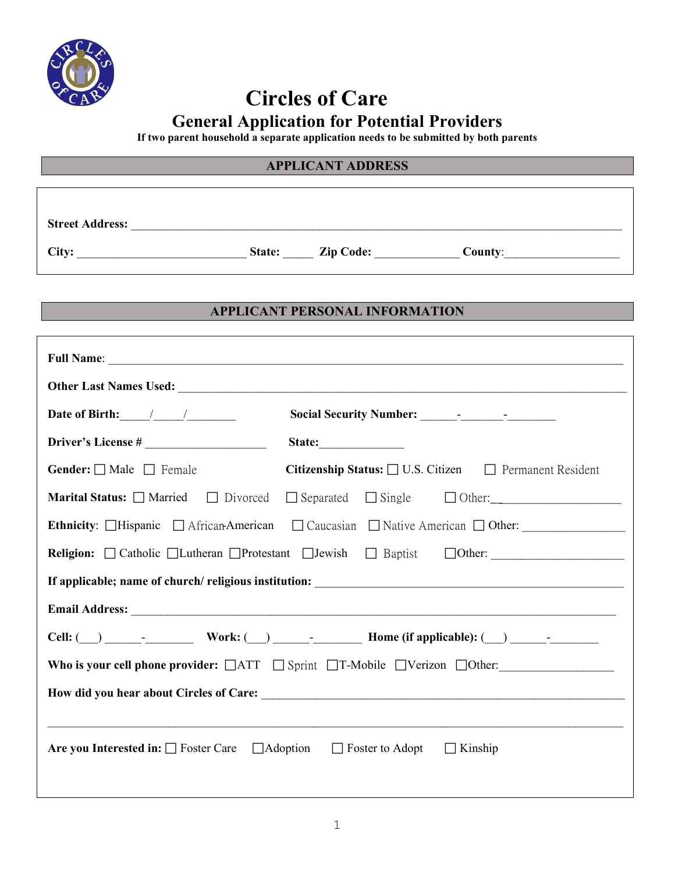

# **Circles of Care General Application for Potential Providers**

**If two parent household a separate application needs to be submitted by both parents**

#### **APPLICANT ADDRESS**

**Street Address:** \_\_\_\_\_\_\_\_\_\_\_\_\_\_\_\_\_\_\_\_\_\_\_\_\_\_\_\_\_\_\_\_\_\_\_\_\_\_\_\_\_\_\_\_\_\_\_\_\_\_\_\_\_\_\_\_\_\_\_\_\_\_\_\_\_\_\_\_\_\_\_\_\_\_\_\_\_\_\_\_\_

**City:** \_\_\_\_\_\_\_\_\_\_\_\_\_\_\_\_\_\_\_\_\_\_\_\_\_\_\_\_ **State:** \_\_\_\_\_ **Zip Code:** \_\_\_\_\_\_\_\_\_\_\_\_\_\_ **County**:\_\_\_\_\_\_\_\_\_\_\_\_\_\_\_\_\_\_\_

#### **APPLICANT PERSONAL INFORMATION**

| Date of Birth: $\frac{1}{\sqrt{1-\frac{1}{2}}}\frac{1}{\sqrt{1-\frac{1}{2}}\sqrt{1-\frac{1}{2}}\sqrt{1-\frac{1}{2}}\sqrt{1-\frac{1}{2}}$ |                                                                                                                                                                                                                                                                                                                                                    |  |
|------------------------------------------------------------------------------------------------------------------------------------------|----------------------------------------------------------------------------------------------------------------------------------------------------------------------------------------------------------------------------------------------------------------------------------------------------------------------------------------------------|--|
|                                                                                                                                          | State:                                                                                                                                                                                                                                                                                                                                             |  |
| <b>Gender:</b> $\Box$ Male $\Box$ Female                                                                                                 | Citizenship Status: □ U.S. Citizen □ Permanent Resident                                                                                                                                                                                                                                                                                            |  |
| <b>Marital Status:</b> $\Box$ Married $\Box$ Divorced                                                                                    | $\Box$ Separated $\Box$ Single $\Box$ Other:                                                                                                                                                                                                                                                                                                       |  |
|                                                                                                                                          | Ethnicity: □Hispanic □ African-American □ Caucasian □ Native American □ Other: ____________________                                                                                                                                                                                                                                                |  |
|                                                                                                                                          | Religion: Catholic Lutheran Protestant LJewish DBaptist DOther: Catholic DE                                                                                                                                                                                                                                                                        |  |
|                                                                                                                                          |                                                                                                                                                                                                                                                                                                                                                    |  |
|                                                                                                                                          |                                                                                                                                                                                                                                                                                                                                                    |  |
|                                                                                                                                          | Cell: $\qquad \qquad$ $\qquad \qquad$ $\qquad \qquad$ Work: $\qquad \qquad$ $\qquad$ $\qquad \qquad$ $\qquad$ $\qquad$ $\qquad$ $\qquad$ $\qquad$ $\qquad$ $\qquad$ $\qquad$ $\qquad$ $\qquad$ $\qquad$ $\qquad$ $\qquad$ $\qquad$ $\qquad$ $\qquad$ $\qquad$ $\qquad$ $\qquad$ $\qquad$ $\qquad$ $\qquad$ $\qquad$ $\qquad$ $\qquad$ $\qquad$ $\$ |  |
|                                                                                                                                          | Who is your cell phone provider: $\Box$ ATT $\Box$ Sprint $\Box$ T-Mobile $\Box$ Verizon $\Box$ Other:                                                                                                                                                                                                                                             |  |
|                                                                                                                                          |                                                                                                                                                                                                                                                                                                                                                    |  |
|                                                                                                                                          |                                                                                                                                                                                                                                                                                                                                                    |  |
| <b>Are you Interested in:</b> $\Box$ Foster Care $\Box$ Adoption $\Box$ Foster to Adopt $\Box$ Kinship                                   |                                                                                                                                                                                                                                                                                                                                                    |  |
|                                                                                                                                          |                                                                                                                                                                                                                                                                                                                                                    |  |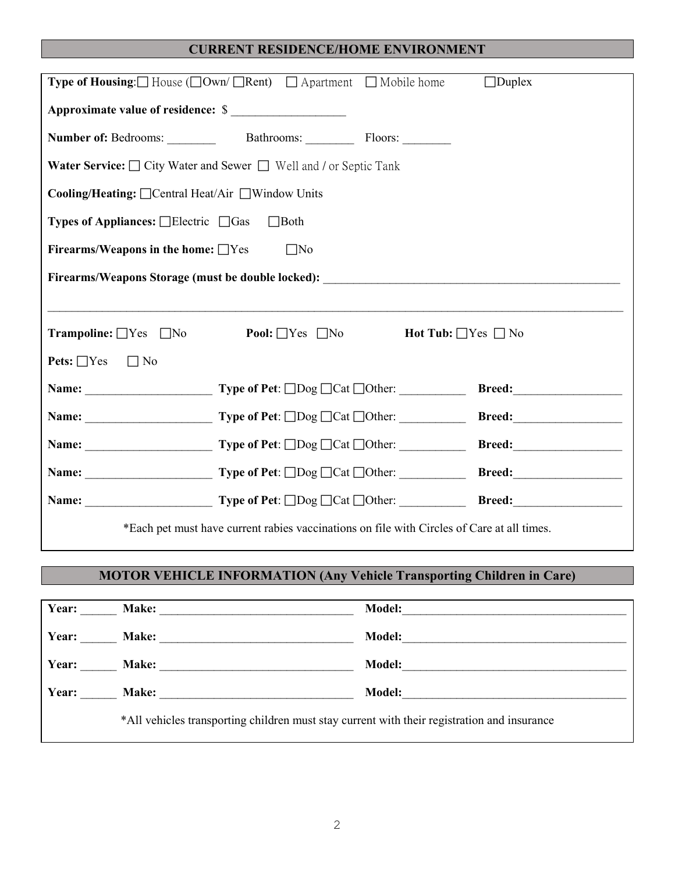## **CURRENT RESIDENCE/HOME ENVIRONMENT**

| <b>Type of Housing:</b> $\Box$ House ( $\Box$ Own/ $\Box$ Rent) $\Box$ Apartment $\Box$ Mobile home |                                                                                  |                               | $\Box$ Duplex |
|-----------------------------------------------------------------------------------------------------|----------------------------------------------------------------------------------|-------------------------------|---------------|
| Approximate value of residence: \$                                                                  |                                                                                  |                               |               |
|                                                                                                     |                                                                                  |                               |               |
| <b>Water Service:</b> □ City Water and Sewer □ Well and / or Septic Tank                            |                                                                                  |                               |               |
| Cooling/Heating: □ Central Heat/Air □ Window Units                                                  |                                                                                  |                               |               |
| <b>Types of Appliances:</b> $\Box$ Electric $\Box$ Gas                                              | $\Box$ Both                                                                      |                               |               |
| Firearms/Weapons in the home: $\Box$ Yes                                                            | $\Box$ No                                                                        |                               |               |
|                                                                                                     |                                                                                  |                               |               |
|                                                                                                     | ,我们也不会有什么?""我们的人,我们也不会有什么?""我们的人,我们也不会有什么?""我们的人,我们也不会有什么?""我们的人,我们也不会有什么?""我们的人 |                               |               |
|                                                                                                     |                                                                                  |                               |               |
| <b>Trampoline:</b> $\Box$ Yes $\Box$ No <b>Pool:</b> $\Box$ Yes $\Box$ No                           |                                                                                  | Hot Tub: $\Box$ Yes $\Box$ No |               |
| <b>Pets:</b> $\Box$ Yes $\Box$ No                                                                   |                                                                                  |                               |               |
|                                                                                                     |                                                                                  |                               |               |
|                                                                                                     |                                                                                  |                               |               |
|                                                                                                     |                                                                                  |                               |               |
|                                                                                                     |                                                                                  |                               |               |
|                                                                                                     |                                                                                  |                               |               |

## **MOTOR VEHICLE INFORMATION (Any Vehicle Transporting Children in Care)**

| Year: | Make:                                                                                       | <b>Model:</b> |
|-------|---------------------------------------------------------------------------------------------|---------------|
| Year: |                                                                                             | <b>Model:</b> |
| Year: | Make:                                                                                       | <b>Model:</b> |
| Year: | Make:                                                                                       | <b>Model:</b> |
|       | *All vehicles transporting children must stay current with their registration and insurance |               |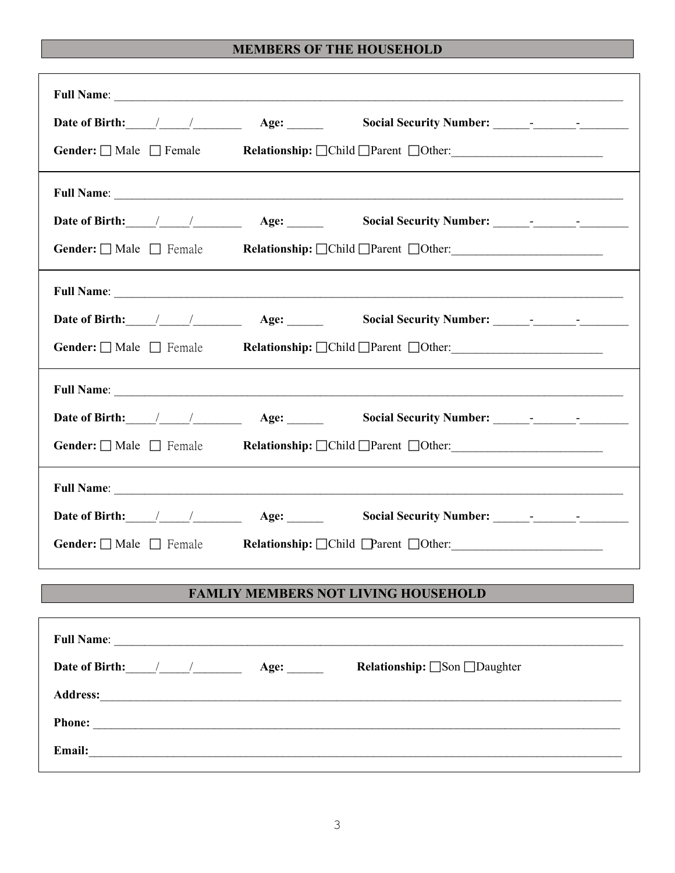## **MEMBERS OF THE HOUSEHOLD**

| <b>Gender:</b> $\Box$ Male $\Box$ Female |                                                        |
|------------------------------------------|--------------------------------------------------------|
|                                          |                                                        |
| Date of Birth: $\angle$ / $\angle$ Age:  |                                                        |
|                                          | Gender: Male Female Relationship: Child Parent Other:  |
|                                          |                                                        |
|                                          |                                                        |
|                                          | Gender: Male Female Relationship: Child Parent Other:  |
|                                          | Full Name:                                             |
|                                          |                                                        |
|                                          | Gender: Male Female Relationship: Child Parent Other:  |
|                                          |                                                        |
|                                          |                                                        |
|                                          | Gender: Male Female Relationship: Child Parent DOther: |
|                                          | <b>FAMLIY MEMBERS NOT LIVING HOUSEHOLD</b>             |

|                                                                                                                                         | Age: | <b>Relationship:</b> □Son □Daughter |
|-----------------------------------------------------------------------------------------------------------------------------------------|------|-------------------------------------|
| <b>Address:</b><br><u> 2002 - Jan Berlin Berlin Berlin Berlin Berlin Berlin Berlin Berlin Berlin Berlin Berlin Berlin Berlin Berlin</u> |      |                                     |
| <b>Phone:</b>                                                                                                                           |      |                                     |
| Email:<br><u> 1989 - John Stein, marking and de families and de families and de families and de families and de families an</u>         |      |                                     |
|                                                                                                                                         |      |                                     |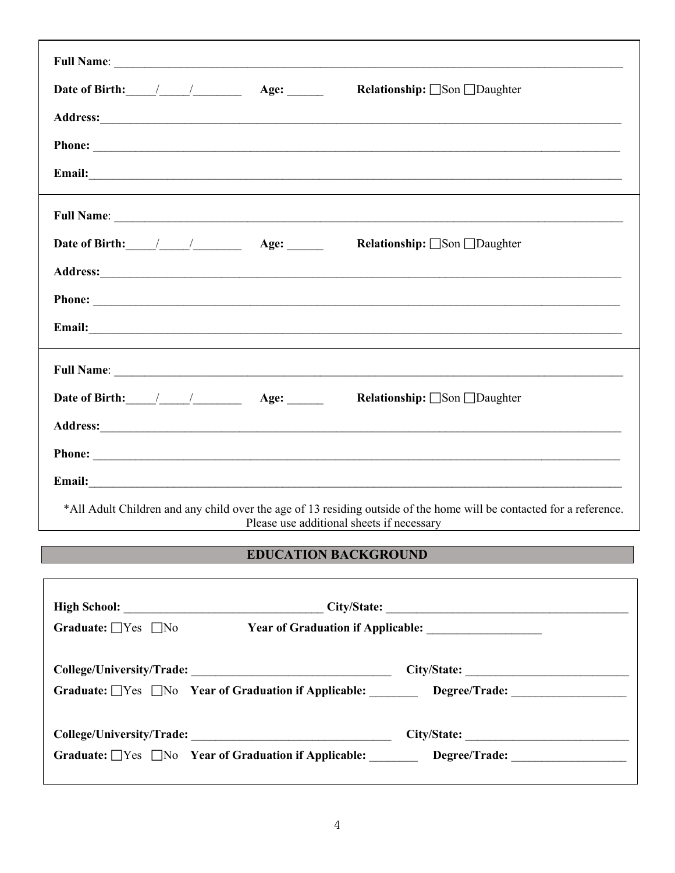| Date of Birth: $\angle$ / $\angle$ Age: | <b>Relationship:</b> <u>□</u> Son □Daughter                                            |
|-----------------------------------------|----------------------------------------------------------------------------------------|
|                                         |                                                                                        |
|                                         |                                                                                        |
|                                         |                                                                                        |
|                                         |                                                                                        |
| Date of Birth: / / Age:                 | <b>Relationship:</b> $\Box$ Son $\Box$ Daughter                                        |
|                                         |                                                                                        |
|                                         |                                                                                        |
|                                         |                                                                                        |
|                                         |                                                                                        |
|                                         | <b>Date of Birth:</b> / / / / / <b>Age:</b> / <b>Age: Relationship:</b> □Son □Daughter |
|                                         |                                                                                        |
|                                         |                                                                                        |
|                                         |                                                                                        |

## **EDUCATION BACKGROUND**

| Graduate: $\Box$ Yes $\Box$ No |                                                                  |             |
|--------------------------------|------------------------------------------------------------------|-------------|
|                                |                                                                  | City/State: |
|                                | Graduate: Ves No Year of Graduation if Applicable: Degree/Trade: |             |
|                                |                                                                  |             |
|                                | Graduate: $\Box$ Yes $\Box$ No Year of Graduation if Applicable: |             |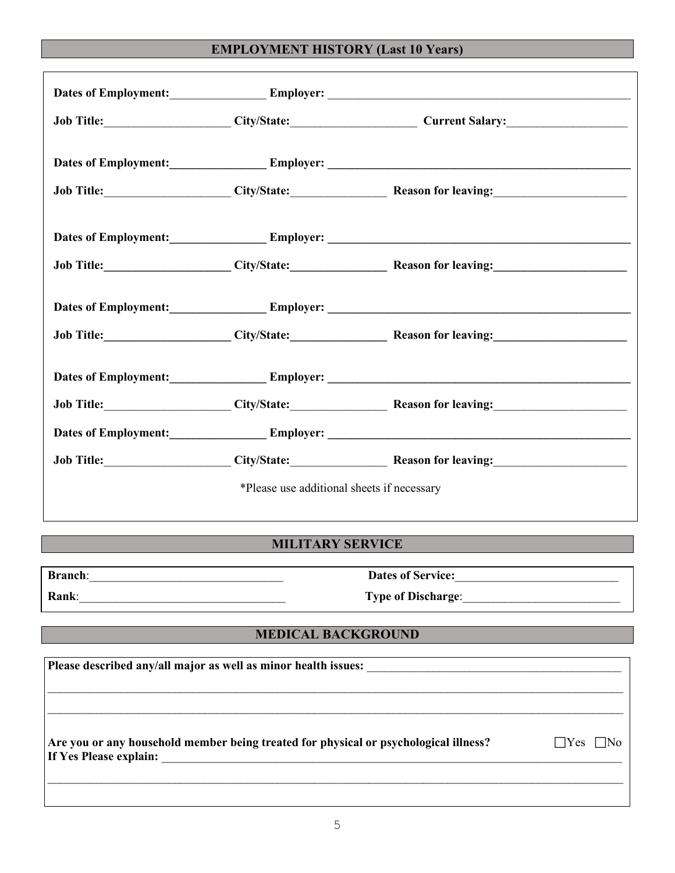## **EMPLOYMENT HISTORY (Last 10 Years)**

|                                                                                                                                                                                                    |                                            | Dates of Employment: Employer: Employer:                                                                                                                                                                                       |  |
|----------------------------------------------------------------------------------------------------------------------------------------------------------------------------------------------------|--------------------------------------------|--------------------------------------------------------------------------------------------------------------------------------------------------------------------------------------------------------------------------------|--|
|                                                                                                                                                                                                    |                                            | Job Title: City/State: City/State: Current Salary:                                                                                                                                                                             |  |
|                                                                                                                                                                                                    |                                            |                                                                                                                                                                                                                                |  |
|                                                                                                                                                                                                    |                                            | Dates of Employment: Employer: Employer: 2008. Employer: 2008. Employer: 2008. Employer: 2008. Employer: 2008. Employer: 2008. Employer: 2008. Employer: 2008. Employer: 2008. Employer: 2008. Employer: 2008. Employer: 2008. |  |
|                                                                                                                                                                                                    |                                            | Job Title: City/State: City/State: Reason for leaving:                                                                                                                                                                         |  |
|                                                                                                                                                                                                    |                                            |                                                                                                                                                                                                                                |  |
|                                                                                                                                                                                                    |                                            | Job Title: City/State: City/State: Reason for leaving:                                                                                                                                                                         |  |
|                                                                                                                                                                                                    |                                            |                                                                                                                                                                                                                                |  |
|                                                                                                                                                                                                    |                                            | Job Title: City/State: City/State: Reason for leaving:                                                                                                                                                                         |  |
|                                                                                                                                                                                                    |                                            |                                                                                                                                                                                                                                |  |
|                                                                                                                                                                                                    |                                            | Job Title: City/State: City/State: Reason for leaving:                                                                                                                                                                         |  |
|                                                                                                                                                                                                    |                                            |                                                                                                                                                                                                                                |  |
|                                                                                                                                                                                                    |                                            | Job Title: City/State: City/State: Reason for leaving:                                                                                                                                                                         |  |
|                                                                                                                                                                                                    | *Please use additional sheets if necessary |                                                                                                                                                                                                                                |  |
|                                                                                                                                                                                                    | <b>MILITARY SERVICE</b>                    |                                                                                                                                                                                                                                |  |
|                                                                                                                                                                                                    |                                            |                                                                                                                                                                                                                                |  |
|                                                                                                                                                                                                    |                                            | Type of Discharge: 1988                                                                                                                                                                                                        |  |
|                                                                                                                                                                                                    | <b>MEDICAL BACKGROUND</b>                  |                                                                                                                                                                                                                                |  |
|                                                                                                                                                                                                    |                                            |                                                                                                                                                                                                                                |  |
| Are you or any household member being treated for physical or psychological illness?<br>$\Box$ Yes $\Box$ No<br>If Yes Please explain:<br><u> 1980 - Johann John Stein, marwolaethau (b. 1980)</u> |                                            |                                                                                                                                                                                                                                |  |
|                                                                                                                                                                                                    |                                            |                                                                                                                                                                                                                                |  |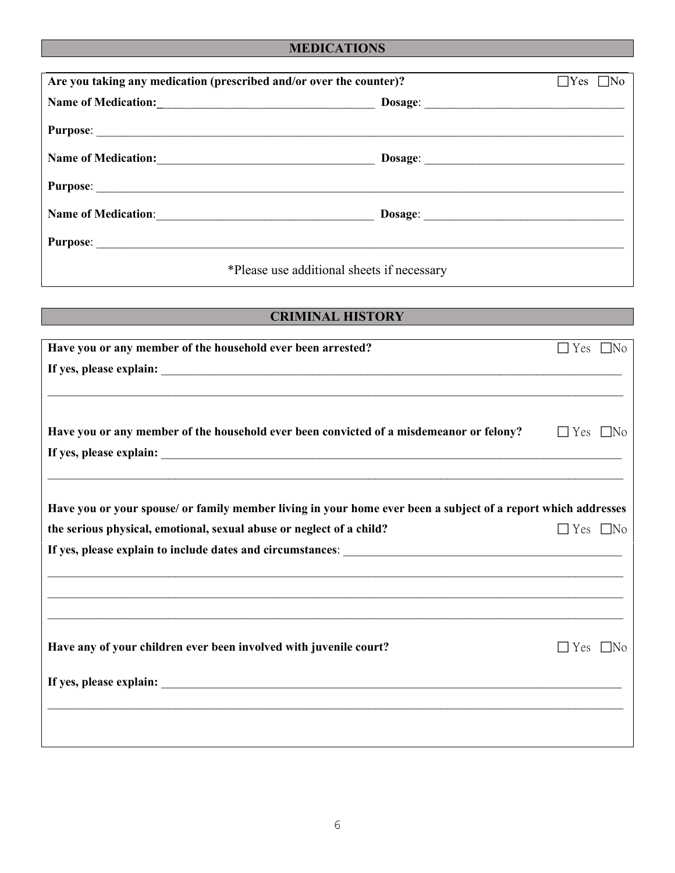# **MEDICATIONS**

| Are you taking any medication (prescribed and/or over the counter)? |                                            | $\Box$ Yes [<br>⊤No |
|---------------------------------------------------------------------|--------------------------------------------|---------------------|
|                                                                     |                                            |                     |
|                                                                     |                                            |                     |
|                                                                     |                                            |                     |
|                                                                     |                                            |                     |
| Name of Medication:<br><u> </u>                                     |                                            |                     |
|                                                                     |                                            |                     |
|                                                                     | *Please use additional sheets if necessary |                     |

# **CRIMINAL HISTORY**

| Have you or any member of the household ever been arrested?                                                   | $\Box$ Yes $\Box$ No |  |
|---------------------------------------------------------------------------------------------------------------|----------------------|--|
|                                                                                                               |                      |  |
|                                                                                                               |                      |  |
|                                                                                                               |                      |  |
| Have you or any member of the household ever been convicted of a misdemeanor or felony?                       | $\Box$ Yes $\Box$ No |  |
|                                                                                                               |                      |  |
|                                                                                                               |                      |  |
|                                                                                                               |                      |  |
| Have you or your spouse/ or family member living in your home ever been a subject of a report which addresses |                      |  |
| the serious physical, emotional, sexual abuse or neglect of a child?                                          | $\Box$ Yes $\Box$ No |  |
|                                                                                                               |                      |  |
|                                                                                                               |                      |  |
| ,我们也不会有什么。""我们的人,我们也不会有什么?""我们的人,我们也不会有什么?""我们的人,我们也不会有什么?""我们的人,我们也不会有什么?""我们的人                              |                      |  |
| ,我们也不会有什么。""我们的人,我们也不会有什么?""我们的人,我们也不会有什么?""我们的人,我们也不会有什么?""我们的人,我们也不会有什么?""我们的人                              |                      |  |
|                                                                                                               |                      |  |
| Have any of your children ever been involved with juvenile court?                                             | $\Box$ Yes $\Box$ No |  |
|                                                                                                               |                      |  |
|                                                                                                               |                      |  |
|                                                                                                               |                      |  |
|                                                                                                               |                      |  |
|                                                                                                               |                      |  |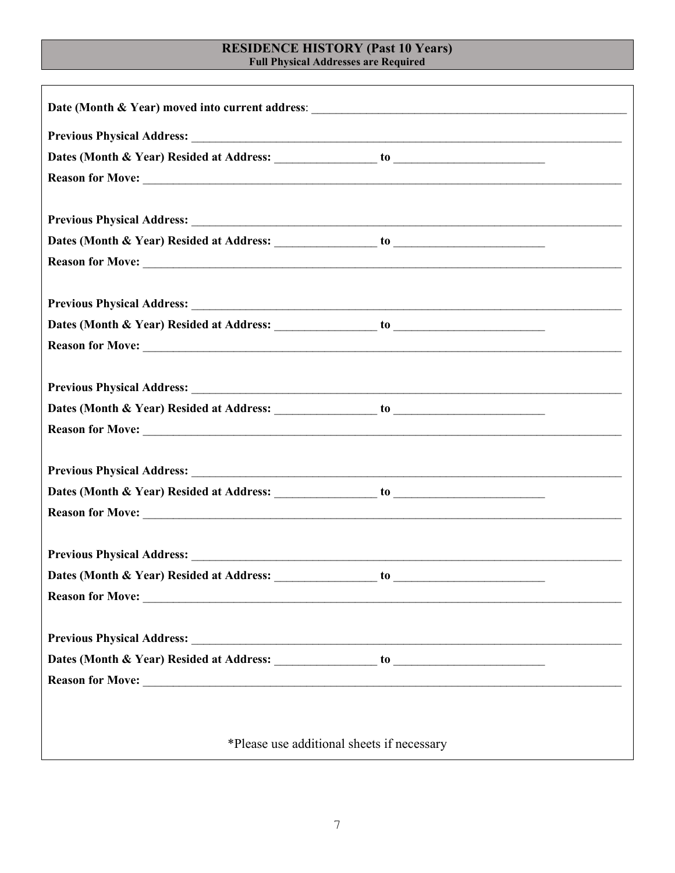# **RESIDENCE HISTORY (Past 10 Years)**<br>Full Physical Addresses are Required

| Reason for Move:                           |    |
|--------------------------------------------|----|
|                                            |    |
|                                            | to |
|                                            |    |
|                                            |    |
|                                            |    |
|                                            |    |
|                                            |    |
|                                            |    |
|                                            |    |
| *Please use additional sheets if necessary |    |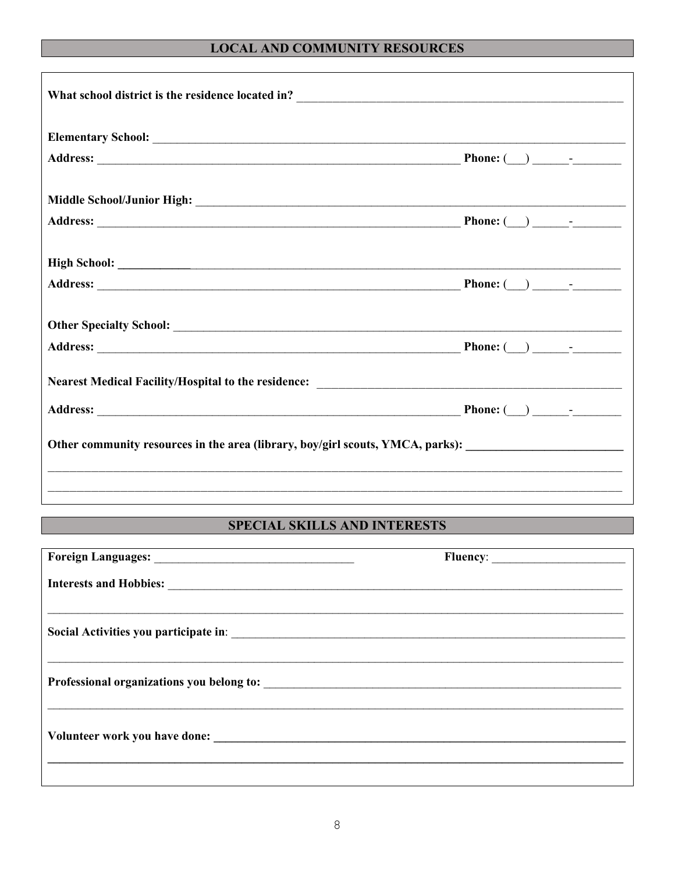# **LOCAL AND COMMUNITY RESOURCES**

| Other community resources in the area (library, boy/girl scouts, YMCA, parks): _______________________________ |  |
|----------------------------------------------------------------------------------------------------------------|--|
| ,我们也不会有什么?""我们的人,我们也不会有什么?""我们的人,我们也不会有什么?""我们的人,我们也不会有什么?""我们的人,我们也不会有什么?""我们的人                               |  |
|                                                                                                                |  |

# SPECIAL SKILLS AND INTERESTS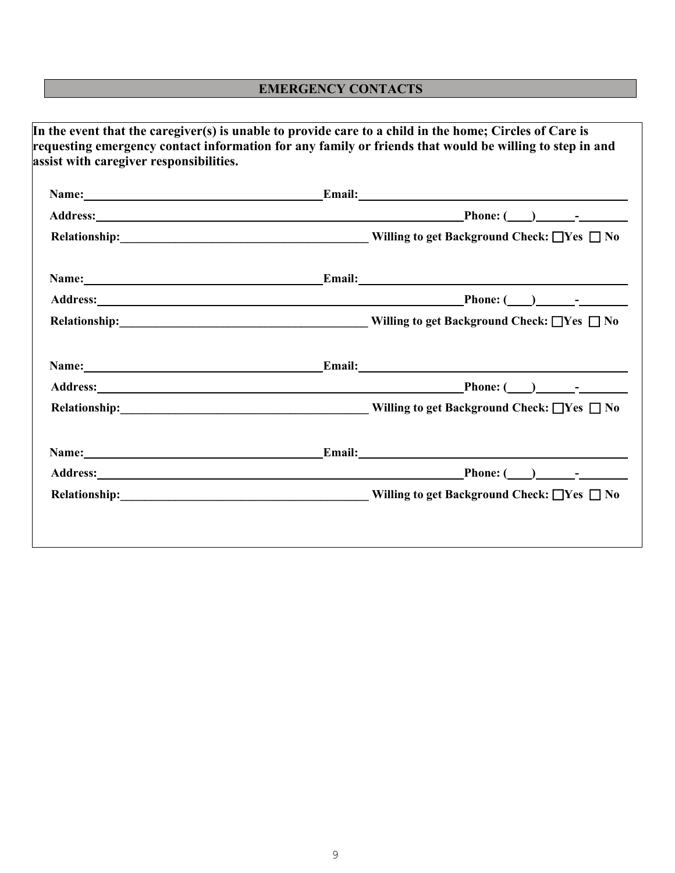# **EMERGENCY CONTACTS**

| Name: Email: Email: |  |
|---------------------|--|
|                     |  |
|                     |  |
| Name: Email: Email: |  |
|                     |  |
|                     |  |
| Name: Email: Email: |  |
|                     |  |
|                     |  |
| Name: Email: Email: |  |
|                     |  |
|                     |  |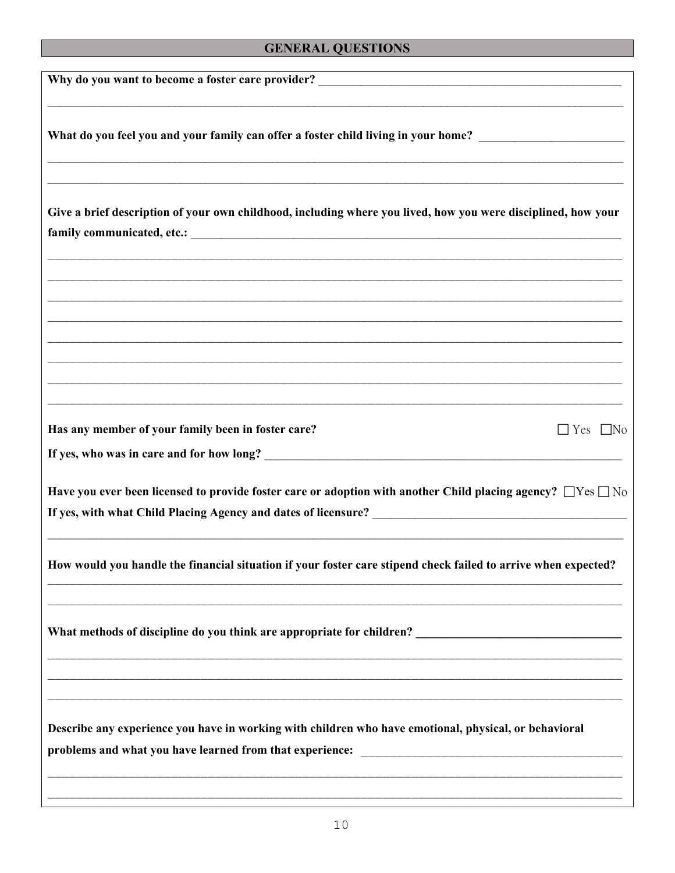# **GENERAL QUESTIONS**

| What do you feel you and your family can offer a foster child living in your home? ___________________________                                                    |                      |
|-------------------------------------------------------------------------------------------------------------------------------------------------------------------|----------------------|
| Give a brief description of your own childhood, including where you lived, how you were disciplined, how your                                                     |                      |
|                                                                                                                                                                   |                      |
| Has any member of your family been in foster care?                                                                                                                | $\Box$ Yes $\Box$ No |
| Have you ever been licensed to provide foster care or adoption with another Child placing agency? $\Box$ Yes $\Box$ No                                            |                      |
| How would you handle the financial situation if your foster care stipend check failed to arrive when expected?                                                    |                      |
| What methods of discipline do you think are appropriate for children?                                                                                             |                      |
| Describe any experience you have in working with children who have emotional, physical, or behavioral<br>problems and what you have learned from that experience: |                      |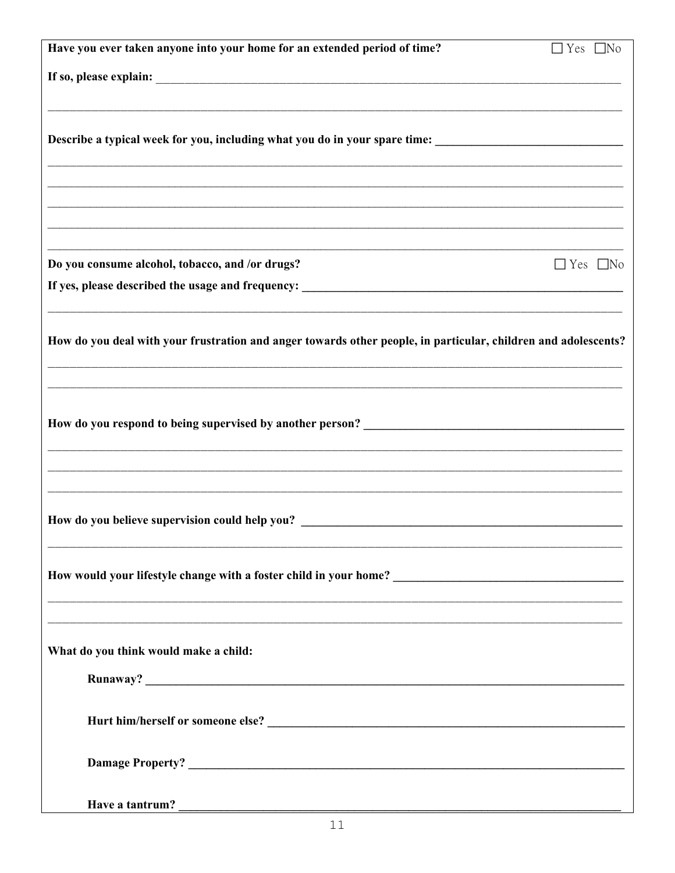| Have you ever taken anyone into your home for an extended period of time?                                      | $\Box$ Yes $\Box$ No |
|----------------------------------------------------------------------------------------------------------------|----------------------|
|                                                                                                                |                      |
|                                                                                                                |                      |
|                                                                                                                |                      |
| Describe a typical week for you, including what you do in your spare time: ___________________________________ |                      |
|                                                                                                                |                      |
|                                                                                                                |                      |
|                                                                                                                |                      |
|                                                                                                                |                      |
| Do you consume alcohol, tobacco, and /or drugs?                                                                | $\Box$ Yes $\Box$ No |
|                                                                                                                |                      |
|                                                                                                                |                      |
| How do you deal with your frustration and anger towards other people, in particular, children and adolescents? |                      |
|                                                                                                                |                      |
|                                                                                                                |                      |
|                                                                                                                |                      |
|                                                                                                                |                      |
|                                                                                                                |                      |
|                                                                                                                |                      |
|                                                                                                                |                      |
| How do you believe supervision could help you?                                                                 |                      |
|                                                                                                                |                      |
|                                                                                                                |                      |
|                                                                                                                |                      |
|                                                                                                                |                      |
|                                                                                                                |                      |
| What do you think would make a child:                                                                          |                      |
|                                                                                                                |                      |
|                                                                                                                |                      |
|                                                                                                                |                      |
|                                                                                                                |                      |
|                                                                                                                |                      |
|                                                                                                                |                      |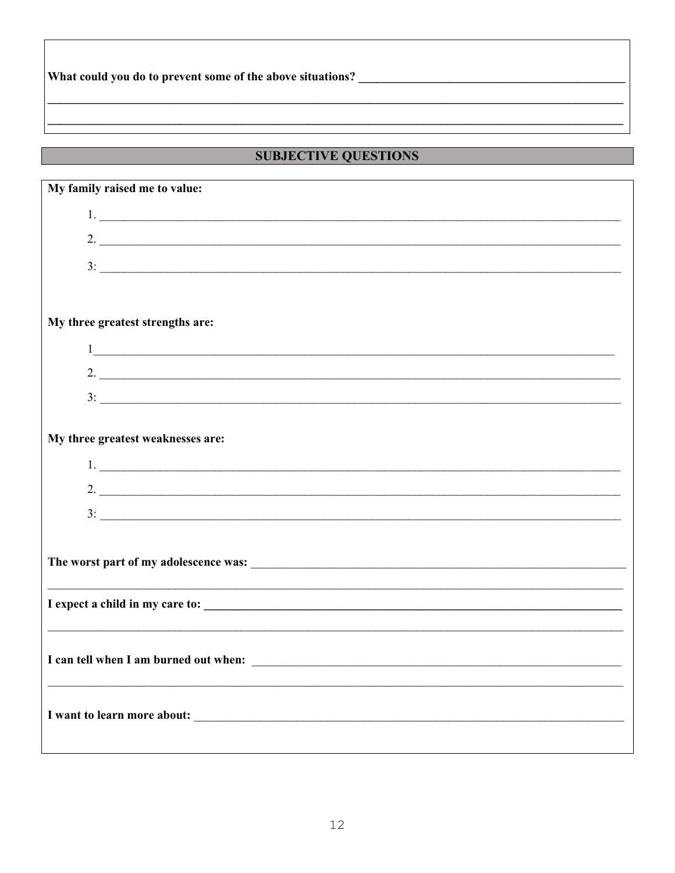## 

# **SUBJECTIVE QUESTIONS**

| My family raised me to value:                                                                                                                                                                                                                                                                                       |  |  |  |  |
|---------------------------------------------------------------------------------------------------------------------------------------------------------------------------------------------------------------------------------------------------------------------------------------------------------------------|--|--|--|--|
| $1.$ $\overline{\phantom{a}}$                                                                                                                                                                                                                                                                                       |  |  |  |  |
| 2.                                                                                                                                                                                                                                                                                                                  |  |  |  |  |
|                                                                                                                                                                                                                                                                                                                     |  |  |  |  |
|                                                                                                                                                                                                                                                                                                                     |  |  |  |  |
|                                                                                                                                                                                                                                                                                                                     |  |  |  |  |
| My three greatest strengths are:                                                                                                                                                                                                                                                                                    |  |  |  |  |
| $\frac{1}{2}$ $\frac{1}{2}$ $\frac{1}{2}$ $\frac{1}{2}$ $\frac{1}{2}$ $\frac{1}{2}$ $\frac{1}{2}$ $\frac{1}{2}$ $\frac{1}{2}$ $\frac{1}{2}$ $\frac{1}{2}$ $\frac{1}{2}$ $\frac{1}{2}$ $\frac{1}{2}$ $\frac{1}{2}$ $\frac{1}{2}$ $\frac{1}{2}$ $\frac{1}{2}$ $\frac{1}{2}$ $\frac{1}{2}$ $\frac{1}{2}$ $\frac{1}{2}$ |  |  |  |  |
| 2. $\overline{\phantom{a}}$                                                                                                                                                                                                                                                                                         |  |  |  |  |
| $3:$ $\overline{\phantom{a}}$                                                                                                                                                                                                                                                                                       |  |  |  |  |
|                                                                                                                                                                                                                                                                                                                     |  |  |  |  |
| My three greatest weaknesses are:                                                                                                                                                                                                                                                                                   |  |  |  |  |
| 1.                                                                                                                                                                                                                                                                                                                  |  |  |  |  |
| 2. $\overline{\phantom{a}}$                                                                                                                                                                                                                                                                                         |  |  |  |  |
| $3:$ $\overline{\phantom{a}}$                                                                                                                                                                                                                                                                                       |  |  |  |  |
|                                                                                                                                                                                                                                                                                                                     |  |  |  |  |
|                                                                                                                                                                                                                                                                                                                     |  |  |  |  |
|                                                                                                                                                                                                                                                                                                                     |  |  |  |  |
|                                                                                                                                                                                                                                                                                                                     |  |  |  |  |
|                                                                                                                                                                                                                                                                                                                     |  |  |  |  |
|                                                                                                                                                                                                                                                                                                                     |  |  |  |  |
|                                                                                                                                                                                                                                                                                                                     |  |  |  |  |
|                                                                                                                                                                                                                                                                                                                     |  |  |  |  |
|                                                                                                                                                                                                                                                                                                                     |  |  |  |  |
|                                                                                                                                                                                                                                                                                                                     |  |  |  |  |
|                                                                                                                                                                                                                                                                                                                     |  |  |  |  |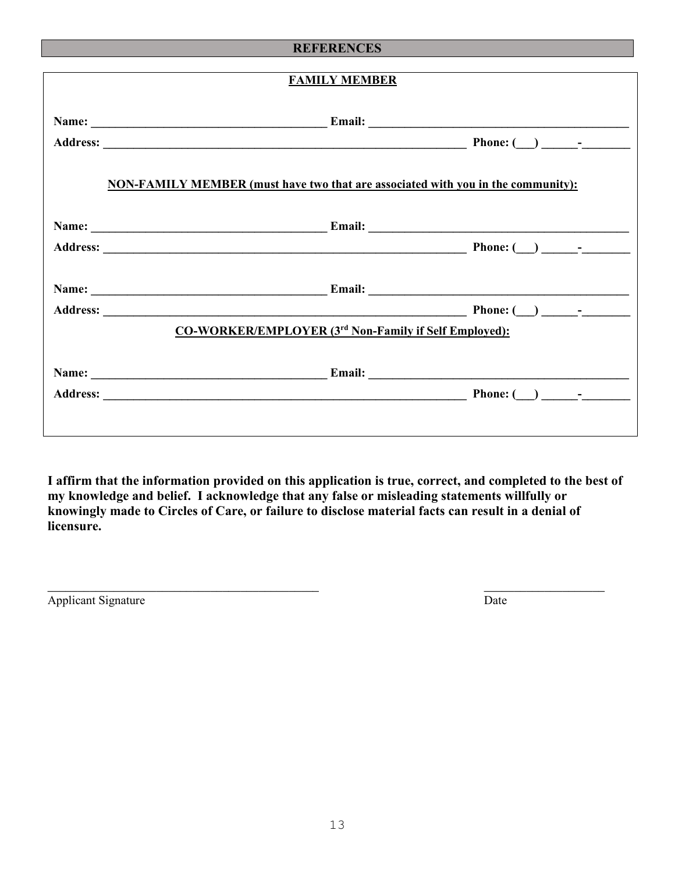#### **REFERENCES**

| <b>FAMILY MEMBER</b>                                                                    |  |  |  |  |  |  |
|-----------------------------------------------------------------------------------------|--|--|--|--|--|--|
|                                                                                         |  |  |  |  |  |  |
| <b>NON-FAMILY MEMBER (must have two that are associated with you in the community):</b> |  |  |  |  |  |  |
|                                                                                         |  |  |  |  |  |  |
|                                                                                         |  |  |  |  |  |  |
| CO-WORKER/EMPLOYER (3 <sup>rd</sup> Non-Family if Self Employed):                       |  |  |  |  |  |  |
|                                                                                         |  |  |  |  |  |  |
|                                                                                         |  |  |  |  |  |  |

**I affirm that the information provided on this application is true, correct, and completed to the best of my knowledge and belief. I acknowledge that any false or misleading statements willfully or knowingly made to Circles of Care, or failure to disclose material facts can result in a denial of licensure.** 

Applicant Signature Date

 $\overline{\phantom{a}}$  , and the contract of the contract of the contract of the contract of the contract of the contract of the contract of the contract of the contract of the contract of the contract of the contract of the contrac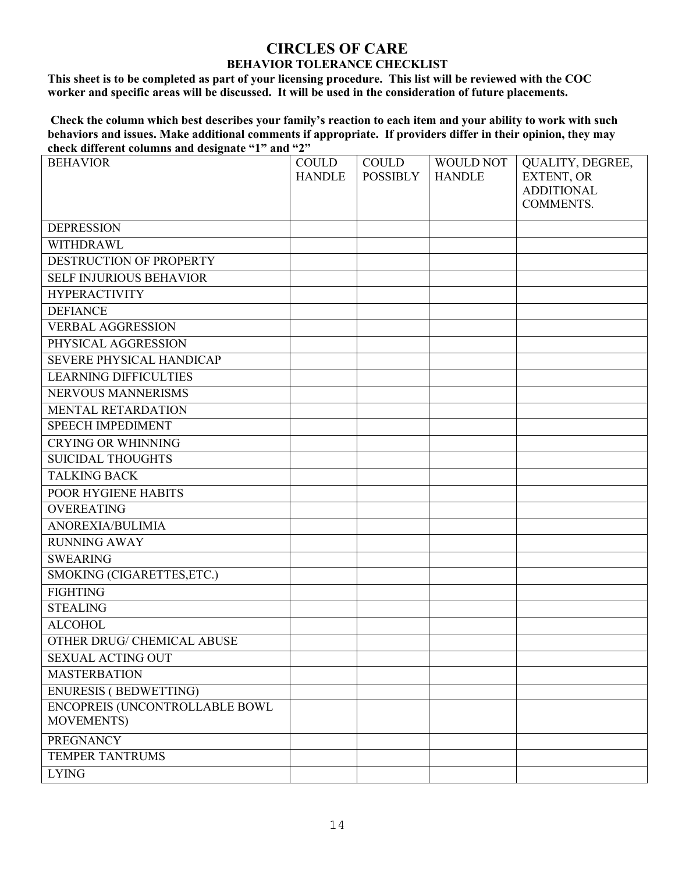#### **CIRCLES OF CARE BEHAVIOR TOLERANCE CHECKLIST**

**This sheet is to be completed as part of your licensing procedure. This list will be reviewed with the COC worker and specific areas will be discussed. It will be used in the consideration of future placements.** 

**Check the column which best describes your family's reaction to each item and your ability to work with such behaviors and issues. Make additional comments if appropriate. If providers differ in their opinion, they may check different columns and designate "1" and "2"** 

| <b>BEHAVIOR</b>                | <b>COULD</b>  | <b>COULD</b>    | <b>WOULD NOT</b> | QUALITY, DEGREE,  |
|--------------------------------|---------------|-----------------|------------------|-------------------|
|                                | <b>HANDLE</b> | <b>POSSIBLY</b> | <b>HANDLE</b>    | EXTENT, OR        |
|                                |               |                 |                  | <b>ADDITIONAL</b> |
|                                |               |                 |                  | <b>COMMENTS.</b>  |
| <b>DEPRESSION</b>              |               |                 |                  |                   |
| WITHDRAWL                      |               |                 |                  |                   |
| DESTRUCTION OF PROPERTY        |               |                 |                  |                   |
| <b>SELF INJURIOUS BEHAVIOR</b> |               |                 |                  |                   |
| <b>HYPERACTIVITY</b>           |               |                 |                  |                   |
| <b>DEFIANCE</b>                |               |                 |                  |                   |
| <b>VERBAL AGGRESSION</b>       |               |                 |                  |                   |
| PHYSICAL AGGRESSION            |               |                 |                  |                   |
| SEVERE PHYSICAL HANDICAP       |               |                 |                  |                   |
| <b>LEARNING DIFFICULTIES</b>   |               |                 |                  |                   |
| NERVOUS MANNERISMS             |               |                 |                  |                   |
| MENTAL RETARDATION             |               |                 |                  |                   |
| <b>SPEECH IMPEDIMENT</b>       |               |                 |                  |                   |
| <b>CRYING OR WHINNING</b>      |               |                 |                  |                   |
| <b>SUICIDAL THOUGHTS</b>       |               |                 |                  |                   |
| <b>TALKING BACK</b>            |               |                 |                  |                   |
| POOR HYGIENE HABITS            |               |                 |                  |                   |
| <b>OVEREATING</b>              |               |                 |                  |                   |
| ANOREXIA/BULIMIA               |               |                 |                  |                   |
| <b>RUNNING AWAY</b>            |               |                 |                  |                   |
| <b>SWEARING</b>                |               |                 |                  |                   |
| SMOKING (CIGARETTES, ETC.)     |               |                 |                  |                   |
| <b>FIGHTING</b>                |               |                 |                  |                   |
| <b>STEALING</b>                |               |                 |                  |                   |
| <b>ALCOHOL</b>                 |               |                 |                  |                   |
| OTHER DRUG/ CHEMICAL ABUSE     |               |                 |                  |                   |
| <b>SEXUAL ACTING OUT</b>       |               |                 |                  |                   |
| <b>MASTERBATION</b>            |               |                 |                  |                   |
| ENURESIS (BEDWETTING)          |               |                 |                  |                   |
| ENCOPREIS (UNCONTROLLABLE BOWL |               |                 |                  |                   |
| <b>MOVEMENTS)</b>              |               |                 |                  |                   |
| <b>PREGNANCY</b>               |               |                 |                  |                   |
| <b>TEMPER TANTRUMS</b>         |               |                 |                  |                   |
| <b>LYING</b>                   |               |                 |                  |                   |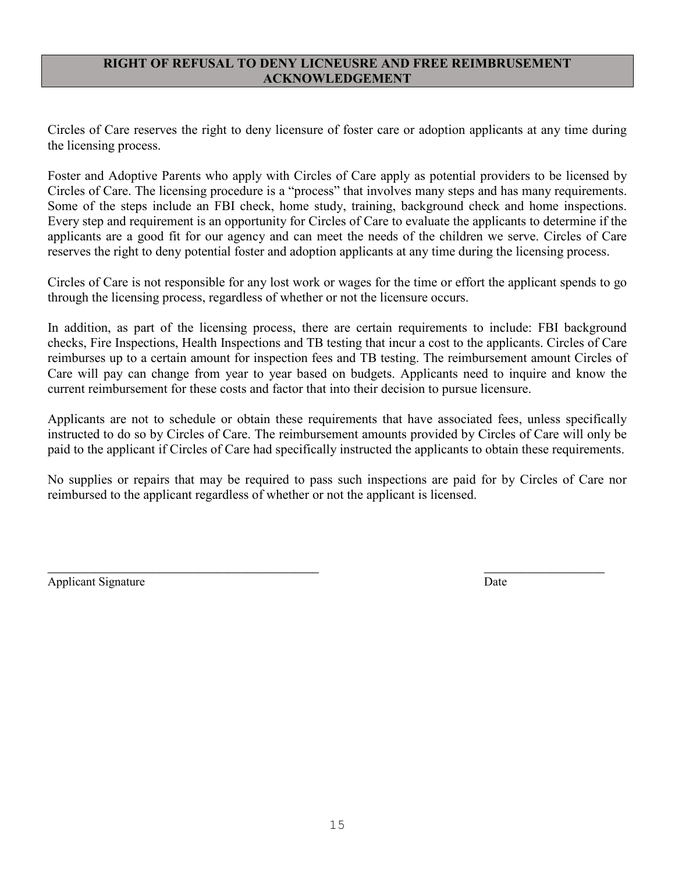#### **RIGHT OF REFUSAL TO DENY LICNEUSRE AND FREE REIMBRUSEMENT ACKNOWLEDGEMENT**

Circles of Care reserves the right to deny licensure of foster care or adoption applicants at any time during the licensing process.

Foster and Adoptive Parents who apply with Circles of Care apply as potential providers to be licensed by Circles of Care. The licensing procedure is a "process" that involves many steps and has many requirements. Some of the steps include an FBI check, home study, training, background check and home inspections. Every step and requirement is an opportunity for Circles of Care to evaluate the applicants to determine if the applicants are a good fit for our agency and can meet the needs of the children we serve. Circles of Care reserves the right to deny potential foster and adoption applicants at any time during the licensing process.

Circles of Care is not responsible for any lost work or wages for the time or effort the applicant spends to go through the licensing process, regardless of whether or not the licensure occurs.

In addition, as part of the licensing process, there are certain requirements to include: FBI background checks, Fire Inspections, Health Inspections and TB testing that incur a cost to the applicants. Circles of Care reimburses up to a certain amount for inspection fees and TB testing. The reimbursement amount Circles of Care will pay can change from year to year based on budgets. Applicants need to inquire and know the current reimbursement for these costs and factor that into their decision to pursue licensure.

Applicants are not to schedule or obtain these requirements that have associated fees, unless specifically instructed to do so by Circles of Care. The reimbursement amounts provided by Circles of Care will only be paid to the applicant if Circles of Care had specifically instructed the applicants to obtain these requirements.

No supplies or repairs that may be required to pass such inspections are paid for by Circles of Care nor reimbursed to the applicant regardless of whether or not the applicant is licensed.

 $\overline{\phantom{a}}$  , and the contract of the contract of the contract of the contract of the contract of the contract of the contract of the contract of the contract of the contract of the contract of the contract of the contrac

Applicant Signature Date